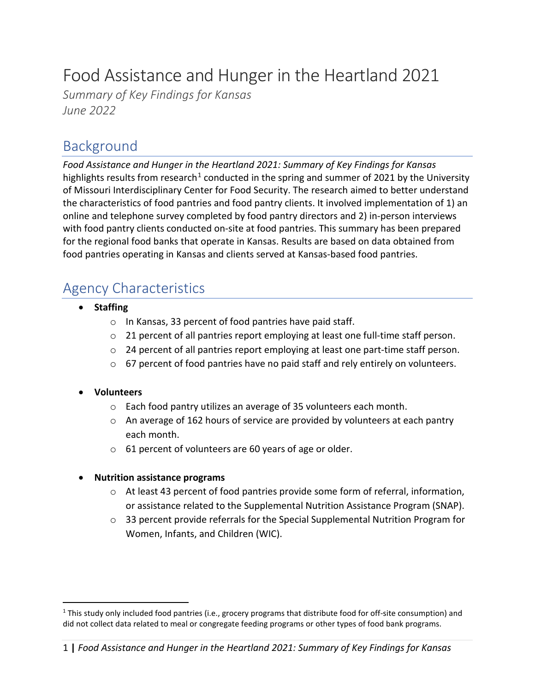# Food Assistance and Hunger in the Heartland 2021

*Summary of Key Findings for Kansas June 2022*

### Background

*Food Assistance and Hunger in the Heartland 2021: Summary of Key Findings for Kansas* highlights results from research<sup>[1](#page-0-0)</sup> conducted in the spring and summer of 2021 by the University of Missouri Interdisciplinary Center for Food Security. The research aimed to better understand the characteristics of food pantries and food pantry clients. It involved implementation of 1) an online and telephone survey completed by food pantry directors and 2) in-person interviews with food pantry clients conducted on-site at food pantries. This summary has been prepared for the regional food banks that operate in Kansas. Results are based on data obtained from food pantries operating in Kansas and clients served at Kansas-based food pantries.

## Agency Characteristics

- **Staffing**
	- o In Kansas, 33 percent of food pantries have paid staff.
	- $\circ$  21 percent of all pantries report employing at least one full-time staff person.
	- $\circ$  24 percent of all pantries report employing at least one part-time staff person.
	- $\circ$  67 percent of food pantries have no paid staff and rely entirely on volunteers.

#### • **Volunteers**

- o Each food pantry utilizes an average of 35 volunteers each month.
- o An average of 162 hours of service are provided by volunteers at each pantry each month.
- o 61 percent of volunteers are 60 years of age or older.

#### • **Nutrition assistance programs**

- o At least 43 percent of food pantries provide some form of referral, information, or assistance related to the Supplemental Nutrition Assistance Program (SNAP).
- $\circ$  33 percent provide referrals for the Special Supplemental Nutrition Program for Women, Infants, and Children (WIC).

<span id="page-0-0"></span> $1$  This study only included food pantries (i.e., grocery programs that distribute food for off-site consumption) and did not collect data related to meal or congregate feeding programs or other types of food bank programs.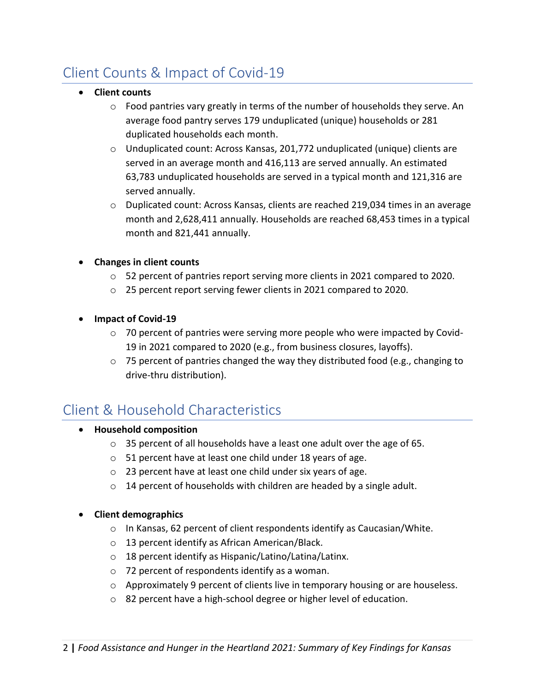## Client Counts & Impact of Covid-19

- **Client counts**
	- $\circ$  Food pantries vary greatly in terms of the number of households they serve. An average food pantry serves 179 unduplicated (unique) households or 281 duplicated households each month.
	- o Unduplicated count: Across Kansas, 201,772 unduplicated (unique) clients are served in an average month and 416,113 are served annually. An estimated 63,783 unduplicated households are served in a typical month and 121,316 are served annually.
	- o Duplicated count: Across Kansas, clients are reached 219,034 times in an average month and 2,628,411 annually. Households are reached 68,453 times in a typical month and 821,441 annually.
- **Changes in client counts** 
	- o 52 percent of pantries report serving more clients in 2021 compared to 2020.
	- o 25 percent report serving fewer clients in 2021 compared to 2020.
- **Impact of Covid-19**
	- $\circ$  70 percent of pantries were serving more people who were impacted by Covid-19 in 2021 compared to 2020 (e.g., from business closures, layoffs).
	- $\circ$  75 percent of pantries changed the way they distributed food (e.g., changing to drive-thru distribution).

## Client & Household Characteristics

- **Household composition**
	- o 35 percent of all households have a least one adult over the age of 65.
	- o 51 percent have at least one child under 18 years of age.
	- o 23 percent have at least one child under six years of age.
	- o 14 percent of households with children are headed by a single adult.

#### • **Client demographics**

- o In Kansas, 62 percent of client respondents identify as Caucasian/White.
- o 13 percent identify as African American/Black.
- o 18 percent identify as Hispanic/Latino/Latina/Latinx.
- o 72 percent of respondents identify as a woman.
- $\circ$  Approximately 9 percent of clients live in temporary housing or are houseless.
- o 82 percent have a high-school degree or higher level of education.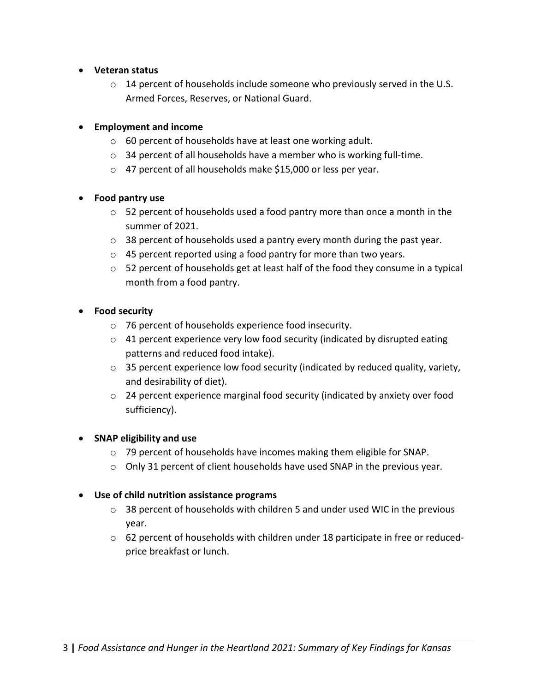- **Veteran status**
	- $\circ$  14 percent of households include someone who previously served in the U.S. Armed Forces, Reserves, or National Guard.

#### • **Employment and income**

- o 60 percent of households have at least one working adult.
- o 34 percent of all households have a member who is working full-time.
- o 47 percent of all households make \$15,000 or less per year.

#### • **Food pantry use**

- $\circ$  52 percent of households used a food pantry more than once a month in the summer of 2021.
- o 38 percent of households used a pantry every month during the past year.
- o 45 percent reported using a food pantry for more than two years.
- o 52 percent of households get at least half of the food they consume in a typical month from a food pantry.

#### • **Food security**

- o 76 percent of households experience food insecurity.
- $\circ$  41 percent experience very low food security (indicated by disrupted eating patterns and reduced food intake).
- o 35 percent experience low food security (indicated by reduced quality, variety, and desirability of diet).
- $\circ$  24 percent experience marginal food security (indicated by anxiety over food sufficiency).

#### • **SNAP eligibility and use**

- o 79 percent of households have incomes making them eligible for SNAP.
- $\circ$  Only 31 percent of client households have used SNAP in the previous year.

#### • **Use of child nutrition assistance programs**

- $\circ$  38 percent of households with children 5 and under used WIC in the previous year.
- $\circ$  62 percent of households with children under 18 participate in free or reducedprice breakfast or lunch.